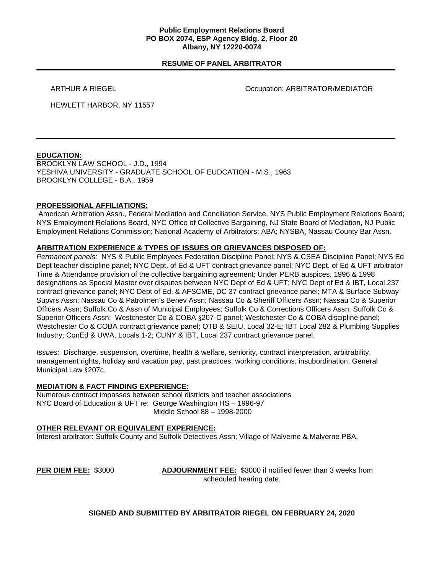### **Public Employment Relations Board PO BOX 2074, ESP Agency Bldg. 2, Floor 20 Albany, NY 12220-0074**

## **RESUME OF PANEL ARBITRATOR**

ARTHUR A RIEGEL **ARTHUR A RIEGEL COLLECTION** Occupation: ARBITRATOR/MEDIATOR

HEWLETT HARBOR, NY 11557

# **EDUCATION:**

BROOKLYN LAW SCHOOL - J.D., 1994 YESHIVA UNIVERSITY - GRADUATE SCHOOL OF EUDCATION - M.S., 1963 BROOKLYN COLLEGE - B.A., 1959

## **PROFESSIONAL AFFILIATIONS:**

American Arbitration Assn., Federal Mediation and Conciliation Service, NYS Public Employment Relations Board; NYS Employment Relations Board, NYC Office of Collective Bargaining, NJ State Board of Mediation, NJ Public Employment Relations Commission; National Academy of Arbitrators; ABA; NYSBA, Nassau County Bar Assn.

## **ARBITRATION EXPERIENCE & TYPES OF ISSUES OR GRIEVANCES DISPOSED OF:**

*Permanent panels:* NYS & Public Employees Federation Discipline Panel; NYS & CSEA Discipline Panel; NYS Ed Dept teacher discipline panel; NYC Dept. of Ed & UFT contract grievance panel; NYC Dept. of Ed & UFT arbitrator Time & Attendance provision of the collective bargaining agreement; Under PERB auspices, 1996 & 1998 designations as Special Master over disputes between NYC Dept of Ed & UFT; NYC Dept of Ed & IBT, Local 237 contract grievance panel; NYC Dept of Ed. & AFSCME, DC 37 contract grievance panel; MTA & Surface Subway Supvrs Assn; Nassau Co & Patrolmen's Benev Assn; Nassau Co & Sheriff Officers Assn; Nassau Co & Superior Officers Assn; Suffolk Co & Assn of Municipal Employees; Suffolk Co & Corrections Officers Assn; Suffolk Co & Superior Officers Assn; Westchester Co & COBA §207-C panel; Westchester Co & COBA discipline panel; Westchester Co & COBA contract grievance panel; OTB & SEIU, Local 32-E; IBT Local 282 & Plumbing Supplies Industry; ConEd & UWA, Locals 1-2; CUNY & IBT, Local 237 contract grievance panel.

*Issues:* Discharge, suspension, overtime, health & welfare, seniority, contract interpretation, arbitrability, management rights, holiday and vacation pay, past practices, working conditions, insubordination, General Municipal Law §207c.

### **MEDIATION & FACT FINDING EXPERIENCE:**

Numerous contract impasses between school districts and teacher associations NYC Board of Education & UFT re: George Washington HS – 1996-97 Middle School 88 – 1998-2000

### **OTHER RELEVANT OR EQUIVALENT EXPERIENCE:**

Interest arbitrator: Suffolk County and Suffolk Detectives Assn; Village of Malverne & Malverne PBA.

**PER DIEM FEE:** \$3000 **ADJOURNMENT FEE:** \$3000 if notified fewer than 3 weeks from scheduled hearing date.

### **SIGNED AND SUBMITTED BY ARBITRATOR RIEGEL ON FEBRUARY 24, 2020**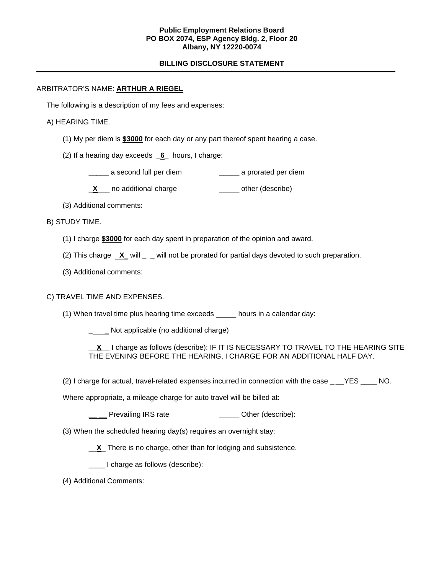### **Public Employment Relations Board PO BOX 2074, ESP Agency Bldg. 2, Floor 20 Albany, NY 12220-0074**

# **BILLING DISCLOSURE STATEMENT**

### ARBITRATOR'S NAME: **ARTHUR A RIEGEL**

The following is a description of my fees and expenses:

## A) HEARING TIME.

- (1) My per diem is **\$3000** for each day or any part thereof spent hearing a case.
- (2) If a hearing day exceeds \_**6**\_ hours, I charge:
	- \_\_\_\_\_ a second full per diem \_\_\_\_\_ a prorated per diem
	- **X** no additional charge **William** other (describe)
- (3) Additional comments:
- B) STUDY TIME.
	- (1) I charge **\$3000** for each day spent in preparation of the opinion and award.
	- (2) This charge **X\_** will \_ \_ will not be prorated for partial days devoted to such preparation.
	- (3) Additional comments:

# C) TRAVEL TIME AND EXPENSES.

- (1) When travel time plus hearing time exceeds \_\_\_\_\_ hours in a calendar day:
	- **\_\_\_\_\_** Not applicable (no additional charge)
	- \_\_**X**\_\_ I charge as follows (describe): IF IT IS NECESSARY TO TRAVEL TO THE HEARING SITE THE EVENING BEFORE THE HEARING, I CHARGE FOR AN ADDITIONAL HALF DAY.
- (2) I charge for actual, travel-related expenses incurred in connection with the case \_\_\_YES \_\_\_\_ NO.

Where appropriate, a mileage charge for auto travel will be billed at:

- **\_\_\_\_** Prevailing IRS rate \_\_\_\_\_\_\_\_\_\_\_\_\_\_\_ Other (describe):
- (3) When the scheduled hearing day(s) requires an overnight stay:
	- \_\_**X**\_ There is no charge, other than for lodging and subsistence.
	- \_\_\_\_ I charge as follows (describe):
- (4) Additional Comments: